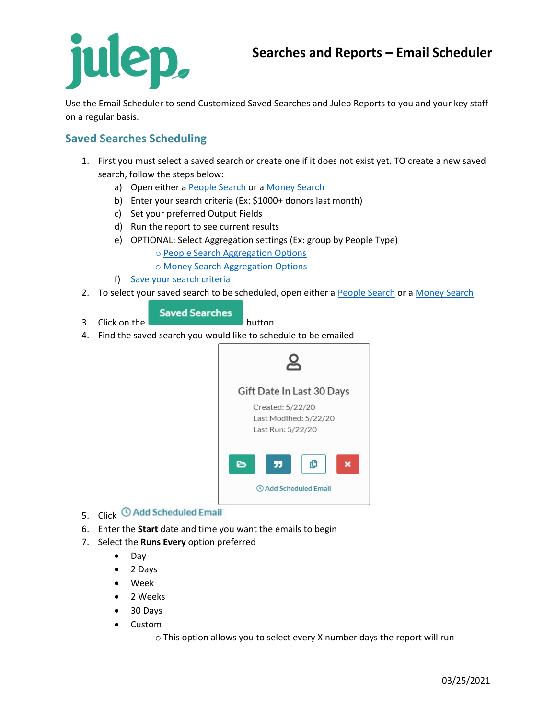Use the Email Scheduler to send Customized Saved Searches and Julep Reports to you and your key staff on a regular basis.

## **Saved Searches Scheduling**

- 1. First you must select a saved search or create one if it does not exist yet. TO create a new saved search, follow the steps below:
	- a) Open either a [People Search](https://support.julepcrm.com/hc/en-us/articles/360044840511-Julep-People-Search) or a [Money Search](https://support.julepcrm.com/hc/en-us/articles/360044893371-Julep-Money-Search)
	- b) Enter your search criteria (Ex: \$1000+ donors last month)
	- c) Set your preferred Output Fields
	- d) Run the report to see current results
	- e) OPTIONAL: Select Aggregation settings (Ex: group by People Type)
		- o [People Search Aggregation Options](https://support.julepcrm.com/hc/en-us/articles/360058596152-Julep-People-Search-Aggregation)
		- o [Money Search Aggregation Options](https://support.julepcrm.com/hc/en-us/articles/360058595852-Julep-Money-Search-Aggregation)
	- f) [Save your search criteria](https://support.julepcrm.com/hc/en-us/articles/360044392652-Julep-Search-Features)
- 2. To select your saved search to be scheduled, open either a [People Search](https://support.julepcrm.com/hc/en-us/articles/360044840511-Julep-People-Search) or [a Money Search](https://support.julepcrm.com/hc/en-us/articles/360044893371-Julep-Money-Search)

#### **Saved Searches**

3. Click on the **button** 

4. Find the saved search you would like to schedule to be emailed



- 5. Click © Add Scheduled Email
- 6. Enter the **Start** date and time you want the emails to begin
- 7. Select the **Runs Every** option preferred
	- Day
	- 2 Days
	- Week
	- 2 Weeks
	- 30 Days
	- Custom
		- o This option allows you to select every X number days the report will run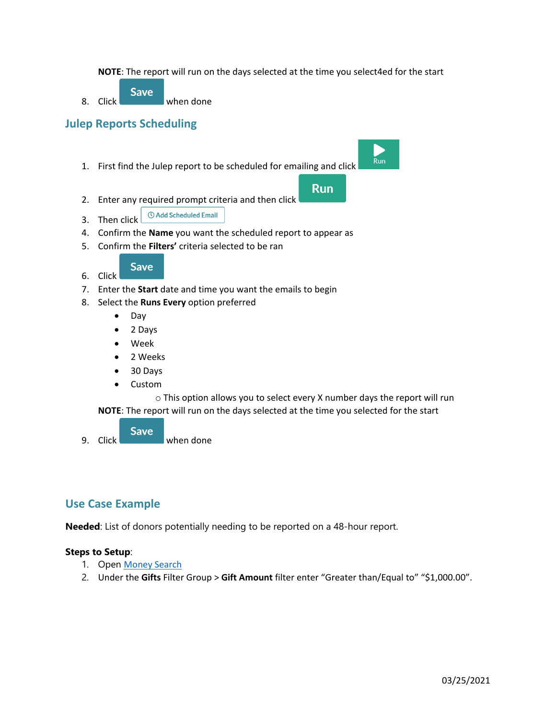**NOTE**: The report will run on the days selected at the time you select4ed for the start

**Save** 8. Click when done

# **Julep Reports Scheduling**

1. First find the Julep report to be scheduled for emailing and click

**Run** 

**Run** 

- 2. Enter any required prompt criteria and then click
- *©* Add Scheduled Email 3. Then click
- 4. Confirm the **Name** you want the scheduled report to appear as
- 5. Confirm the **Filters'** criteria selected to be ran

**Save** 

- 6. Click
- 7. Enter the **Start** date and time you want the emails to begin
- 8. Select the **Runs Every** option preferred
	- Day
	- 2 Days
	- Week
	- 2 Weeks
	- 30 Days
	- Custom

o This option allows you to select every X number days the report will run **NOTE**: The report will run on the days selected at the time you selected for the start

**Save** 9. Click when done

### **Use Case Example**

**Needed**: List of donors potentially needing to be reported on a 48-hour report.

#### **Steps to Setup**:

- 1. Open [Money Search](https://support.julepcrm.com/hc/en-us/articles/360044893371-Julep-Money-Search)
- 2. Under the **Gifts** Filter Group > **Gift Amount** filter enter "Greater than/Equal to" "\$1,000.00".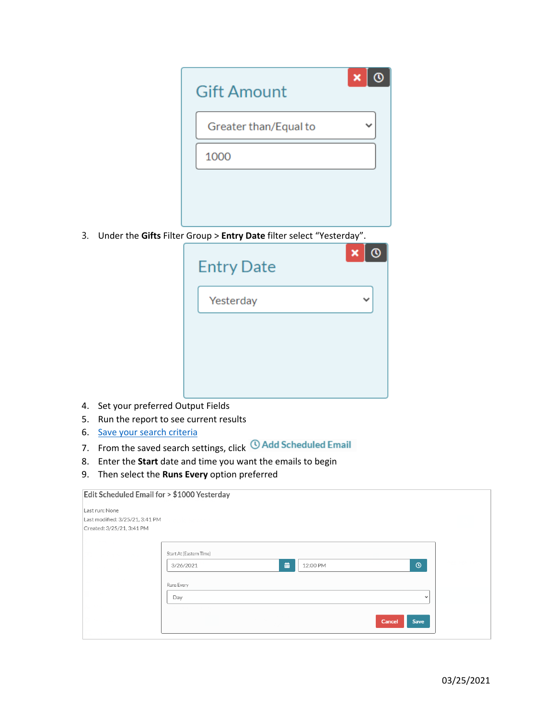| <b>Gift Amount</b>    | $\boldsymbol{\mathsf{x}}$ |
|-----------------------|---------------------------|
| Greater than/Equal to |                           |
| 1000                  |                           |
|                       |                           |
|                       |                           |

3. Under the **Gifts** Filter Group > **Entry Date** filter select "Yesterday".

| <b>Entry Date</b> | $\boldsymbol{\mathsf{x}}$ |
|-------------------|---------------------------|
| Yesterday         |                           |
|                   |                           |
|                   |                           |
|                   |                           |

- 4. Set your preferred Output Fields
- 5. Run the report to see current results
- 6. [Save your search criteria](https://support.julepcrm.com/hc/en-us/articles/360044392652-Julep-Search-Features)
- 7. From the saved search settings, click **C Add Scheduled Email**
- 8. Enter the **Start** date and time you want the emails to begin
- 9. Then select the **Runs Every** option preferred

| Edit Scheduled Email for > \$1000 Yesterday                                    |                                                       |              |  |
|--------------------------------------------------------------------------------|-------------------------------------------------------|--------------|--|
| Last run: None<br>Last modified: 3/25/21, 3:41 PM<br>Created: 3/25/21, 3:41 PM |                                                       |              |  |
|                                                                                | Start At (Eastern Time)<br>齒<br>12:00 PM<br>3/26/2021 | $\odot$      |  |
|                                                                                | Runs Every<br>Day                                     | $\checkmark$ |  |
|                                                                                | Cancel                                                | Save         |  |